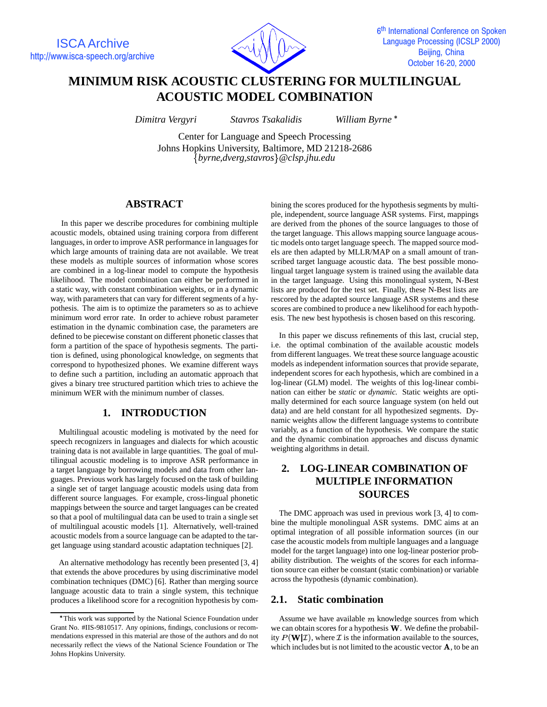

# **MINIMUM RISK ACOUSTIC CLUSTERING FOR MULTILINGUAL ACOUSTIC MODEL COMBINATION**

*Dimitra Vergyri Stavros Tsakalidis William Byrne*

Center for Language and Speech Processing Johns Hopkins University, Baltimore, MD 21218-2686 *byrne,dverg,stavros*- *@clsp.jhu.edu*

## **ABSTRACT**

In this paper we describe procedures for combining multiple acoustic models, obtained using training corpora from different languages, in order to improve ASR performance in languages for which large amounts of training data are not available. We treat these models as multiple sources of information whose scores are combined in a log-linear model to compute the hypothesis likelihood. The model combination can either be performed in a static way, with constant combination weights, or in a dynamic way, with parameters that can vary for different segments of a hypothesis. The aim is to optimize the parameters so as to achieve minimum word error rate. In order to achieve robust parameter estimation in the dynamic combination case, the parameters are defined to be piecewise constant on different phonetic classes that form a partition of the space of hypothesis segments. The partition is defined, using phonological knowledge, on segments that correspond to hypothesized phones. We examine different ways to define such a partition, including an automatic approach that gives a binary tree structured partition which tries to achieve the minimum WER with the minimum number of classes.

## **1. INTRODUCTION**

Multilingual acoustic modeling is motivated by the need for speech recognizers in languages and dialects for which acoustic training data is not available in large quantities. The goal of multilingual acoustic modeling is to improve ASR performance in a target language by borrowing models and data from other languages. Previous work has largely focused on the task of building a single set of target language acoustic models using data from different source languages. For example, cross-lingual phonetic mappings between the source and target languages can be created so that a pool of multilingual data can be used to train a single set of multilingual acoustic models [1]. Alternatively, well-trained acoustic models from a source language can be adapted to the target language using standard acoustic adaptation techniques [2].

An alternative methodology has recently been presented [3, 4] that extends the above procedures by using discriminative model combination techniques (DMC) [6]. Rather than merging source language acoustic data to train a single system, this technique produces a likelihood score for a recognition hypothesis by com-

bining the scores produced for the hypothesis segments by multiple, independent, source language ASR systems. First, mappings are derived from the phones of the source languages to those of the target language. This allows mapping source language acoustic models onto target language speech. The mapped source models are then adapted by MLLR/MAP on a small amount of transcribed target language acoustic data. The best possible monolingual target language system is trained using the available data in the target language. Using this monolingual system, N-Best lists are produced for the test set. Finally, these N-Best lists are rescored by the adapted source language ASR systems and these scores are combined to produce a new likelihood for each hypothesis. The new best hypothesis is chosen based on this rescoring.

In this paper we discuss refinements of this last, crucial step, i.e. the optimal combination of the available acoustic models from different languages. We treat these source language acoustic models as independent information sources that provide separate, independent scores for each hypothesis, which are combined in a log-linear (GLM) model. The weights of this log-linear combination can either be *static* or *dynamic*. Static weights are optimally determined for each source language system (on held out data) and are held constant for all hypothesized segments. Dynamic weights allow the different language systems to contribute variably, as a function of the hypothesis. We compare the static and the dynamic combination approaches and discuss dynamic weighting algorithms in detail.

## **2. LOG-LINEAR COMBINATION OF MULTIPLE INFORMATION SOURCES**

The DMC approach was used in previous work [3, 4] to combine the multiple monolingual ASR systems. DMC aims at an optimal integration of all possible information sources (in our case the acoustic models from multiple languages and a language model for the target language) into one log-linear posterior probability distribution. The weights of the scores for each information source can either be constant (static combination) or variable across the hypothesis (dynamic combination).

#### **2.1. Static combination**

Assume we have available  $m$  knowledge sources from which we can obtain scores for a hypothesis  $W$ . We define the probability  $P(\mathbf{W}|\mathcal{I})$ , where  $\mathcal I$  is the information available to the sources, which includes but is not limited to the acoustic vector  $\bf{A}$ , to be an

This work was supported by the National Science Foundation under Grant No. #IIS-9810517. Any opinions, findings, conclusions or recommendations expressed in this material are those of the authors and do not necessarily reflect the views of the National Science Foundation or The Johns Hopkins University.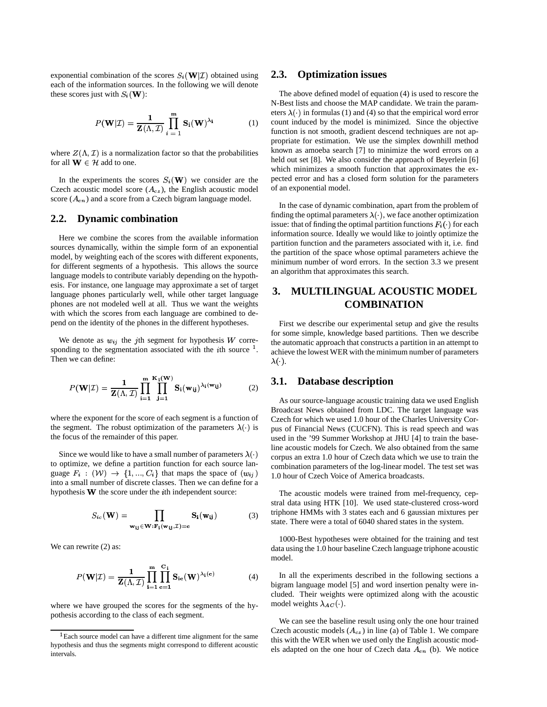exponential combination of the scores  $S_i(\mathbf{W} | \mathcal{I})$  obtained using each of the information sources. In the following we will denote these scores just with  $S_i(\mathbf{W})$ :

$$
P(\mathbf{W}|\mathcal{I}) = \frac{1}{\mathbf{Z}(\Lambda, \mathcal{I})} \prod_{i=1}^{m} \mathbf{S}_i(\mathbf{W})^{\lambda_i}
$$
 (1)

where  $Z(\Lambda, \mathcal{I})$  is a normalization factor so that the probabilities for all  $\mathbf{W} \in \mathcal{H}$  add to one.

In the experiments the scores  $S_i(\mathbf{W})$  we consider are the Czech acoustic model score  $(A_{cz})$ , the English acoustic model score ( $A_{en}$ ) and a score from a Czech bigram language model.

#### **2.2. Dynamic combination**

Here we combine the scores from the available information sources dynamically, within the simple form of an exponential model, by weighting each of the scores with different exponents, for different segments of a hypothesis. This allows the source language models to contribute variably depending on the hypothesis. For instance, one language may approximate a set of target language phones particularly well, while other target language phones are not modeled well at all. Thus we want the weights with which the scores from each language are combined to depend on the identity of the phones in the different hypotheses.

We denote as  $w_{ij}$  the *j*th segment for hypothesis  $W$  corresponding to the segmentation associated with the  $i$ th source  $<sup>1</sup>$ .</sup> Then we can define:

$$
P(\mathbf{W}|\mathcal{I}) = \frac{1}{\mathbf{Z}(\Lambda, \mathcal{I})} \prod_{i=1}^{m} \prod_{j=1}^{\mathbf{K}_1(\mathbf{W})} \mathbf{S}_i(\mathbf{w}_{ij})^{\lambda_i(\mathbf{w}_{ij})}
$$
(2)

where the exponent for the score of each segment is a function of the segment. The robust optimization of the parameters  $\lambda(\cdot)$  is the focus of the remainder of this paper.

Since we would like to have a small number of parameters  $\lambda(\cdot)$ to optimize, we define a partition function for each source language  $F_i$  :  $(\mathcal{W}) \rightarrow \{1, ..., C_i\}$  that maps the space of  $(w_{ij})$ into a small number of discrete classes. Then we can define for a hypothesis  $W$  the score under the *i*th independent source:

$$
S_{ic}(\mathbf{W}) = \prod_{\mathbf{w}_{ij} \in \mathbf{W}: \mathbf{F}_i(\mathbf{w}_{ij}, \mathcal{I}) = \mathbf{c}} \mathbf{S}_i(\mathbf{w}_{ij})
$$
(3)

We can rewrite  $(2)$  as:

$$
P(\mathbf{W}|\mathcal{I}) = \frac{1}{\mathbf{Z}(\Lambda, \mathcal{I})} \prod_{i=1}^{m} \prod_{c=1}^{C_i} \mathbf{S}_{ic}(\mathbf{W})^{\lambda_i(c)}
$$
(4)

where we have grouped the scores for the segments of the hypothesis according to the class of each segment.

#### **2.3. Optimization issues**

The above defined model of equation (4) is used to rescore the N-Best lists and choose the MAP candidate. We train the parameters  $\lambda(\cdot)$  in formulas (1) and (4) so that the empirical word error count induced by the model is minimized. Since the objective function is not smooth, gradient descend techniques are not appropriate for estimation. We use the simplex downhill method known as amoeba search [7] to minimize the word errors on a held out set [8]. We also consider the approach of Beyerlein [6] which minimizes a smooth function that approximates the expected error and has a closed form solution for the parameters of an exponential model.

In the case of dynamic combination, apart from the problem of finding the optimal parameters  $\lambda(\cdot)$ , we face another optimization issue: that of finding the optimal partition functions  $F_i(\cdot)$  for each information source. Ideally we would like to jointly optimize the partition function and the parameters associated with it, i.e. find the partition of the space whose optimal parameters achieve the minimum number of word errors. In the section 3.3 we present an algorithm that approximates this search.

## **3. MULTILINGUAL ACOUSTIC MODEL COMBINATION**

First we describe our experimental setup and give the results for some simple, knowledge based partitions. Then we describe the automatic approach that constructs a partition in an attempt to achieve the lowest WER with the minimum number of parameters  $\lambda(\cdot)$ .

#### **3.1. Database description**

As our source-language acoustic training data we used English Broadcast News obtained from LDC. The target language was Czech for which we used 1.0 hour of the Charles University Corpus of Financial News (CUCFN). This is read speech and was used in the '99 Summer Workshop at JHU [4] to train the baseline acoustic models for Czech. We also obtained from the same corpus an extra 1.0 hour of Czech data which we use to train the combination parameters of the log-linear model. The test set was 1.0 hour of Czech Voice of America broadcasts.

The acoustic models were trained from mel-frequency, cepstral data using HTK [10]. We used state-clustered cross-word triphone HMMs with 3 states each and 6 gaussian mixtures per state. There were a total of 6040 shared states in the system.

1000-Best hypotheses were obtained for the training and test data using the 1.0 hour baseline Czech language triphone acoustic model.

In all the experiments described in the following sections a bigram language model [5] and word insertion penalty were included. Their weights were optimized along with the acoustic model weights  $\lambda_{AC}(\cdot)$ .

We can see the baseline result using only the one hour trained Czech acoustic models  $(A<sub>cz</sub>)$  in line (a) of Table 1. We compare this with the WER when we used only the English acoustic models adapted on the one hour of Czech data  $A_{en}$  (b). We notice

 ${}^{1}$ Each source model can have a different time alignment for the same hypothesis and thus the segments might correspond to different acoustic intervals.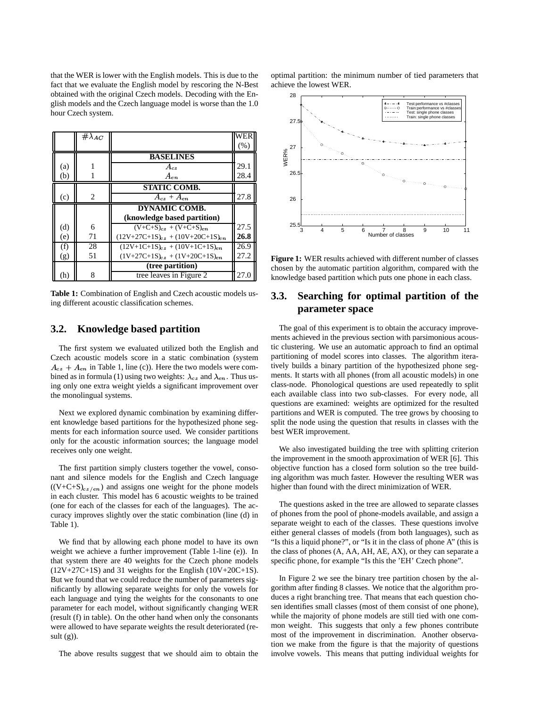that the WER is lower with the English models. This is due to the fact that we evaluate the English model by rescoring the N-Best obtained with the original Czech models. Decoding with the English models and the Czech language model is worse than the 1.0 hour Czech system.

|     | $\#\lambda_{AC}$ |                                         |      |
|-----|------------------|-----------------------------------------|------|
|     |                  |                                         | (%)  |
|     |                  | <b>BASELINES</b>                        |      |
| (a) |                  | $A_{cz}$                                | 29.1 |
| (b) |                  | $A_{en}$                                | 28.4 |
|     |                  | <b>STATIC COMB.</b>                     |      |
| (c) | $\overline{c}$   | $A_{cz}+A_{en}$                         | 27.8 |
|     |                  | <b>DYNAMIC COMB.</b>                    |      |
|     |                  | (knowledge based partition)             |      |
| (d) | 6                | $(V+C+S)_{cz} + (V+C+S)_{en}$           | 27.5 |
| (e) | 71               | $(12V+27C+1S)_{cz} + (10V+20C+1S)_{en}$ | 26.8 |
| (f) | 28               | $(12V+1C+1S)_{cz} + (10V+1C+1S)_{en}$   | 26.9 |
| (g) | 51               | $(1V+27C+1S)_{cz} + (1V+20C+1S)_{en}$   | 27.2 |
|     |                  | (tree partition)                        |      |
| (h) | 8                | tree leaves in Figure 2                 | 27.0 |

**Table 1:** Combination of English and Czech acoustic models using different acoustic classification schemes.

#### **3.2. Knowledge based partition**

The first system we evaluated utilized both the English and Czech acoustic models score in a static combination (system  $A_{cz} + A_{en}$  in Table 1, line (c)). Here the two models were combined as in formula (1) using two weights:  $\lambda_{cz}$  and  $\lambda_{en}$ . Thus using only one extra weight yields a significant improvement over the monolingual systems.

Next we explored dynamic combination by examining different knowledge based partitions for the hypothesized phone segments for each information source used. We consider partitions only for the acoustic information sources; the language model receives only one weight.

The first partition simply clusters together the vowel, consonant and silence models for the English and Czech language  $((V+C+S)_{cz/en})$  and assigns one weight for the phone models in each cluster. This model has 6 acoustic weights to be trained (one for each of the classes for each of the languages). The accuracy improves slightly over the static combination (line (d) in Table 1).

We find that by allowing each phone model to have its own weight we achieve a further improvement (Table 1-line (e)). In that system there are 40 weights for the Czech phone models (12V+27C+1S) and 31 weights for the English (10V+20C+1S). But we found that we could reduce the number of parameters significantly by allowing separate weights for only the vowels for each language and tying the weights for the consonants to one parameter for each model, without significantly changing WER (result (f) in table). On the other hand when only the consonants were allowed to have separate weights the result deteriorated (re $sult(g)$ ).

The above results suggest that we should aim to obtain the

optimal partition: the minimum number of tied parameters that achieve the lowest WER.



**Figure 1:** WER results achieved with different number of classes chosen by the automatic partition algorithm, compared with the knowledge based partition which puts one phone in each class.

## **3.3. Searching for optimal partition of the parameter space**

The goal of this experiment is to obtain the accuracy improvements achieved in the previous section with parsimonious acoustic clustering. We use an automatic approach to find an optimal partitioning of model scores into classes. The algorithm iteratively builds a binary partition of the hypothesized phone segments. It starts with all phones (from all acoustic models) in one class-node. Phonological questions are used repeatedly to split each available class into two sub-classes. For every node, all questions are examined: weights are optimized for the resulted partitions and WER is computed. The tree grows by choosing to split the node using the question that results in classes with the best WER improvement.

We also investigated building the tree with splitting criterion the improvement in the smooth approximation of WER [6]. This objective function has a closed form solution so the tree building algorithm was much faster. However the resulting WER was higher than found with the direct minimization of WER.

The questions asked in the tree are allowed to separate classes of phones from the pool of phone-models available, and assign a separate weight to each of the classes. These questions involve either general classes of models (from both languages), such as "Is this a liquid phone?", or "Is it in the class of phone A" (this is the class of phones (A, AA, AH, AE, AX), or they can separate a specific phone, for example "Is this the 'EH' Czech phone".

In Figure 2 we see the binary tree partition chosen by the algorithm after finding 8 classes. We notice that the algorithm produces a right branching tree. That means that each question chosen identifies small classes (most of them consist of one phone), while the majority of phone models are still tied with one common weight. This suggests that only a few phones contribute most of the improvement in discrimination. Another observation we make from the figure is that the majority of questions involve vowels. This means that putting individual weights for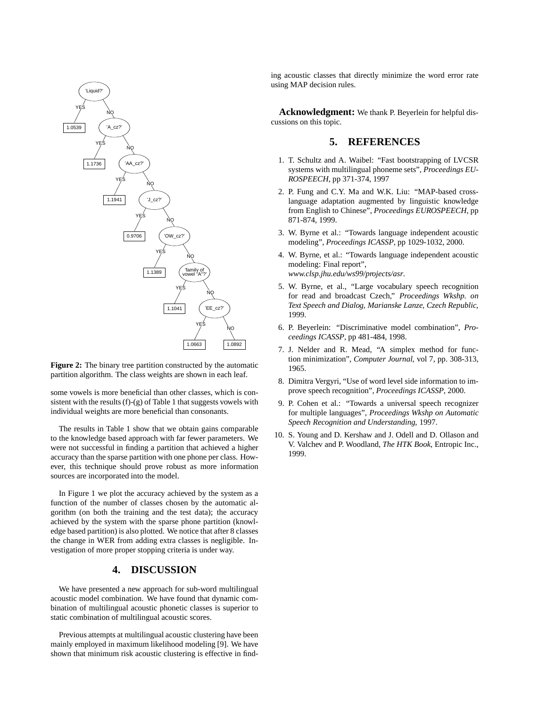

**Figure 2:** The binary tree partition constructed by the automatic partition algorithm. The class weights are shown in each leaf.

some vowels is more beneficial than other classes, which is consistent with the results  $(f)-(g)$  of Table 1 that suggests vowels with individual weights are more beneficial than consonants.

The results in Table 1 show that we obtain gains comparable to the knowledge based approach with far fewer parameters. We were not successful in finding a partition that achieved a higher accuracy than the sparse partition with one phone per class. However, this technique should prove robust as more information sources are incorporated into the model.

In Figure 1 we plot the accuracy achieved by the system as a function of the number of classes chosen by the automatic algorithm (on both the training and the test data); the accuracy achieved by the system with the sparse phone partition (knowledge based partition) is also plotted. We notice that after 8 classes the change in WER from adding extra classes is negligible. Investigation of more proper stopping criteria is under way.

### **4. DISCUSSION**

We have presented a new approach for sub-word multilingual acoustic model combination. We have found that dynamic combination of multilingual acoustic phonetic classes is superior to static combination of multilingual acoustic scores.

Previous attempts at multilingual acoustic clustering have been mainly employed in maximum likelihood modeling [9]. We have shown that minimum risk acoustic clustering is effective in finding acoustic classes that directly minimize the word error rate using MAP decision rules.

**Acknowledgment:** We thank P. Beyerlein for helpful discussions on this topic.

#### **5. REFERENCES**

- 1. T. Schultz and A. Waibel: "Fast bootstrapping of LVCSR systems with multilingual phoneme sets", *Proceedings EU-ROSPEECH*, pp 371-374, 1997
- 2. P. Fung and C.Y. Ma and W.K. Liu: "MAP-based crosslanguage adaptation augmented by linguistic knowledge from English to Chinese", *Proceedings EUROSPEECH*, pp 871-874, 1999.
- 3. W. Byrne et al.: "Towards language independent acoustic modeling", *Proceedings ICASSP*, pp 1029-1032, 2000.
- 4. W. Byrne, et al.: "Towards language independent acoustic modeling: Final report", *www.clsp.jhu.edu/ws99/projects/asr*.
- 5. W. Byrne, et al., "Large vocabulary speech recognition for read and broadcast Czech," *Proceedings Wkshp. on Text Speech and Dialog, Marianske Lanze, Czech Republic*, 1999.
- 6. P. Beyerlein: "Discriminative model combination", *Proceedings ICASSP*, pp 481-484, 1998.
- 7. J. Nelder and R. Mead, "A simplex method for function minimization", *Computer Journal*, vol 7, pp. 308-313, 1965.
- 8. Dimitra Vergyri, "Use of word level side information to improve speech recognition", *Proceedings ICASSP*, 2000.
- 9. P. Cohen et al.: "Towards a universal speech recognizer for multiple languages", *Proceedings Wkshp on Automatic Speech Recognition and Understanding*, 1997.
- 10. S. Young and D. Kershaw and J. Odell and D. Ollason and V. Valchev and P. Woodland, *The HTK Book*, Entropic Inc., 1999.